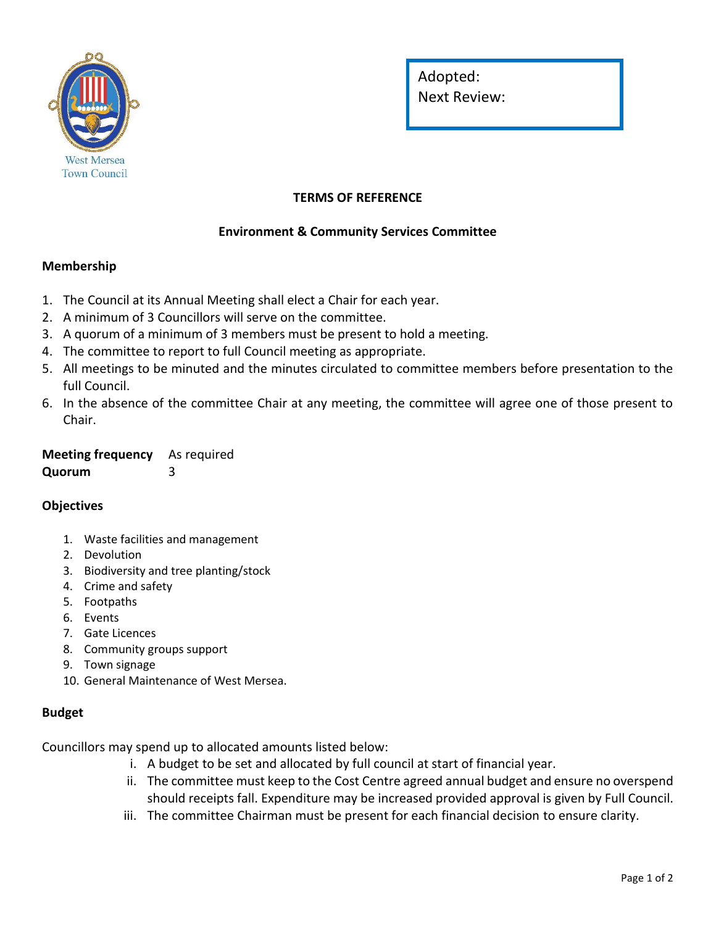

Adopted: Next Review:

# **TERMS OF REFERENCE**

# **Environment & Community Services Committee**

### **Membership**

- 1. The Council at its Annual Meeting shall elect a Chair for each year.
- 2. A minimum of 3 Councillors will serve on the committee.
- 3. A quorum of a minimum of 3 members must be present to hold a meeting.
- 4. The committee to report to full Council meeting as appropriate.
- 5. All meetings to be minuted and the minutes circulated to committee members before presentation to the full Council.
- 6. In the absence of the committee Chair at any meeting, the committee will agree one of those present to Chair.

| <b>Meeting frequency</b> | As required |
|--------------------------|-------------|
| Quorum                   | 3           |

#### **Objectives**

- 1. Waste facilities and management
- 2. Devolution
- 3. Biodiversity and tree planting/stock
- 4. Crime and safety
- 5. Footpaths
- 6. Events
- 7. Gate Licences
- 8. Community groups support
- 9. Town signage
- 10. General Maintenance of West Mersea.

#### **Budget**

Councillors may spend up to allocated amounts listed below:

- i. A budget to be set and allocated by full council at start of financial year.
- ii. The committee must keep to the Cost Centre agreed annual budget and ensure no overspend should receipts fall. Expenditure may be increased provided approval is given by Full Council.
- iii. The committee Chairman must be present for each financial decision to ensure clarity.